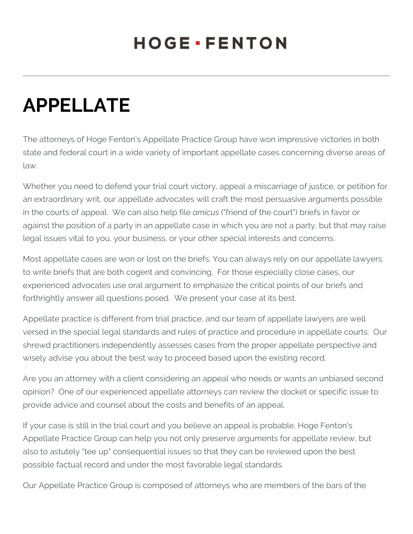## **HOGE** · FENTON

## **APPELLATE**

The attorneys of Hoge Fenton's Appellate Practice Group have won impressive victories in both state and federal court in a wide variety of important appellate cases concerning diverse areas of law.

Whether you need to defend your trial court victory, appeal a miscarriage of justice, or petition for an extraordinary writ, our appellate advocates will craft the most persuasive arguments possible in the courts of appeal. We can also help file *amicus* ("friend of the court") briefs in favor or against the position of a party in an appellate case in which you are not a party, but that may raise legal issues vital to you, your business, or your other special interests and concerns.

Most appellate cases are won or lost on the briefs. You can always rely on our appellate lawyers to write briefs that are both cogent and convincing. For those especially close cases, our experienced advocates use oral argument to emphasize the critical points of our briefs and forthrightly answer all questions posed. We present your case at its best.

Appellate practice is different from trial practice, and our team of appellate lawyers are well versed in the special legal standards and rules of practice and procedure in appellate courts. Our shrewd practitioners independently assesses cases from the proper appellate perspective and wisely advise you about the best way to proceed based upon the existing record.

Are you an attorney with a client considering an appeal who needs or wants an unbiased second opinion? One of our experienced appellate attorneys can review the docket or specific issue to provide advice and counsel about the costs and benefits of an appeal.

If your case is still in the trial court and you believe an appeal is probable, Hoge Fenton's Appellate Practice Group can help you not only preserve arguments for appellate review, but also to astutely "tee up" consequential issues so that they can be reviewed upon the best possible factual record and under the most favorable legal standards.

Our Appellate Practice Group is composed of attorneys who are members of the bars of the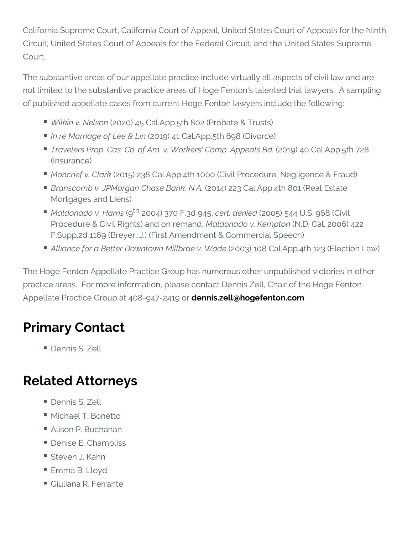California Supreme Court, California Court of Appeal, United States Circuit, United States Court of Appeals for the Federal Circuit, and Court.

The substantive areas of our appellate practice include virtually al not limited to the substantive practice areas of Hoge Fenton's taler of published appellate cases from current Hoge Fenton lawyers incl

- $\blacksquare$  Wilkin v. N $($ e $2$   $\Theta$   $2$   $\Theta$ ) 45 Cal.App.5th 802 (Probate & Trusts)
- In re Marriage of (L2e0e1  $\Re$ ) L4in Cal.App.5th 698 (Divorce)
- Travelers Prop. Cas. Co. of Am. v. Work(2051'9)Co4nopCaAppppal5thold (Insurance)
- Moncrief v. (2014bk) 238 Cal.App.4th 1000 (Civil Procedure, Negl
- Branscomb v. JPMorgan Ch@2sCe1฿an2k2,3NC Al.App.4th 801 (Real E Mortgages and Liens)
- $\blacksquare$  Maldonado v.(いりね $20034$ ) 370 F.3edrt9.4s5e $\natural$ 461005) 544 U.S. 968 (Civil Procedure & Civil Rights) aM alloonnaed no av.d K (eNn poto 6 al. 2006) 422 F.Supp.2d 1169 (Breyer, J.) (First Amendment & Commercial S
- Alliance for a Better Downtown ( $M000$ \$) a1e 0 $8$ . CMs a.dAepp.4th 123 (Ele

The Hoge Fenton Appellate Practice Group has numerous other unp practice areas. For more information, please contact Dennis Zell, Appellate Practice Group at 40060n 0 i4s7.z2e411@ hoorgefenton.com

## Primary Contact

Dennis S. Zell

## Related Attorneys

- Dennis S. Zell
- Michael T. Bonetto
- Alison P. Buchanan
- Denise E. Chambliss
- Steven J. Kahn
- Emma B. Lloyd
- Giuliana R. Ferrante